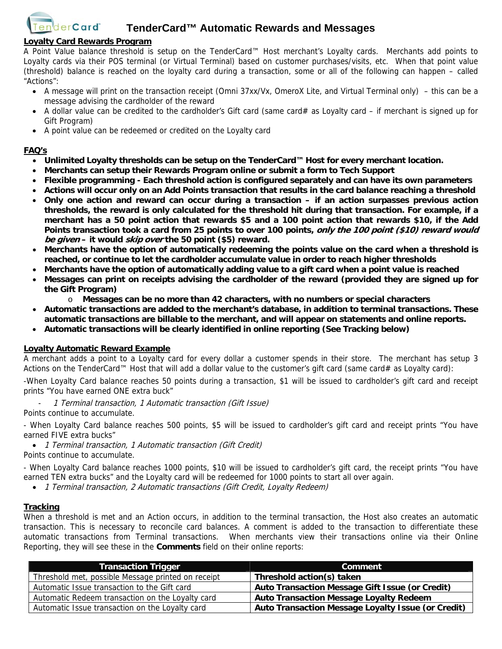

#### **Loyalty Card Rewards Program**

A Point Value balance threshold is setup on the TenderCard™ Host merchant's Loyalty cards. Merchants add points to Loyalty cards via their POS terminal (or Virtual Terminal) based on customer purchases/visits, etc. When that point value (threshold) balance is reached on the loyalty card during a transaction, some or all of the following can happen – called "Actions":

- A message will print on the transaction receipt (Omni 37xx/Vx, OmeroX Lite, and Virtual Terminal only) this can be a message advising the cardholder of the reward
- A dollar value can be credited to the cardholder's Gift card (same card# as Loyalty card if merchant is signed up for Gift Program)
- A point value can be redeemed or credited on the Loyalty card

#### **FAQ's**

- **Unlimited Loyalty thresholds can be setup on the TenderCard™ Host for every merchant location.**
- **Merchants can setup their Rewards Program online or submit a form to Tech Support**
- **Flexible programming Each threshold action is configured separately and can have its own parameters**
- **Actions will occur only on an Add Points transaction that results in the card balance reaching a threshold**
- **Only one action and reward can occur during a transaction if an action surpasses previous action thresholds, the reward is only calculated for the threshold hit during that transaction. For example, if a merchant has a 50 point action that rewards \$5 and a 100 point action that rewards \$10, if the Add Points transaction took a card from 25 points to over 100 points, only the 100 point (\$10) reward would be given – it would skip over the 50 point (\$5) reward.**
- **Merchants have the option of automatically redeeming the points value on the card when a threshold is reached, or continue to let the cardholder accumulate value in order to reach higher thresholds**
- **Merchants have the option of automatically adding value to a gift card when a point value is reached**
- **Messages can print on receipts advising the cardholder of the reward (provided they are signed up for the Gift Program)** 
	- o **Messages can be no more than 42 characters, with no numbers or special characters**
- **Automatic transactions are added to the merchant's database, in addition to terminal transactions. These automatic transactions are billable to the merchant, and will appear on statements and online reports.**
- **Automatic transactions will be clearly identified in online reporting (See Tracking below)**

#### **Loyalty Automatic Reward Example**

A merchant adds a point to a Loyalty card for every dollar a customer spends in their store. The merchant has setup 3 Actions on the TenderCard™ Host that will add a dollar value to the customer's gift card (same card# as Loyalty card):

-When Loyalty Card balance reaches 50 points during a transaction, \$1 will be issued to cardholder's gift card and receipt prints "You have earned ONE extra buck"

1 Terminal transaction, 1 Automatic transaction (Gift Issue)

Points continue to accumulate.

- When Loyalty Card balance reaches 500 points, \$5 will be issued to cardholder's gift card and receipt prints "You have earned FIVE extra bucks"

- 1 Terminal transaction, 1 Automatic transaction (Gift Credit)
- Points continue to accumulate.

- When Loyalty Card balance reaches 1000 points, \$10 will be issued to cardholder's gift card, the receipt prints "You have earned TEN extra bucks" and the Loyalty card will be redeemed for 1000 points to start all over again.

• 1 Terminal transaction, 2 Automatic transactions (Gift Credit, Loyalty Redeem)

#### **Tracking**

When a threshold is met and an Action occurs, in addition to the terminal transaction, the Host also creates an automatic transaction. This is necessary to reconcile card balances. A comment is added to the transaction to differentiate these automatic transactions from Terminal transactions. When merchants view their transactions online via their Online Reporting, they will see these in the **Comments** field on their online reports:

| <b>Transaction Trigger</b>                         | Comment                                            |
|----------------------------------------------------|----------------------------------------------------|
| Threshold met, possible Message printed on receipt | Threshold action(s) taken                          |
| Automatic Issue transaction to the Gift card       | Auto Transaction Message Gift Issue (or Credit)    |
| Automatic Redeem transaction on the Loyalty card   | <b>Auto Transaction Message Loyalty Redeem</b>     |
| Automatic Issue transaction on the Loyalty card    | Auto Transaction Message Loyalty Issue (or Credit) |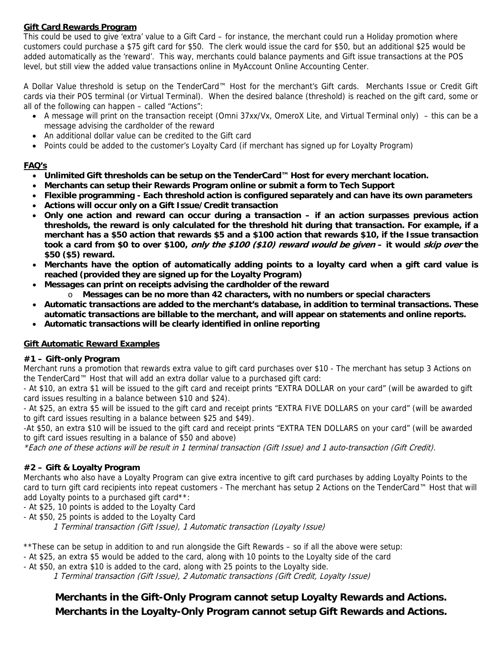## **Gift Card Rewards Program**

This could be used to give 'extra' value to a Gift Card – for instance, the merchant could run a Holiday promotion where customers could purchase a \$75 gift card for \$50. The clerk would issue the card for \$50, but an additional \$25 would be added automatically as the 'reward'. This way, merchants could balance payments and Gift issue transactions at the POS level, but still view the added value transactions online in MyAccount Online Accounting Center.

A Dollar Value threshold is setup on the TenderCard™ Host for the merchant's Gift cards. Merchants Issue or Credit Gift cards via their POS terminal (or Virtual Terminal). When the desired balance (threshold) is reached on the gift card, some or all of the following can happen – called "Actions":

- A message will print on the transaction receipt (Omni 37xx/Vx, OmeroX Lite, and Virtual Terminal only) this can be a message advising the cardholder of the reward
- An additional dollar value can be credited to the Gift card
- Points could be added to the customer's Loyalty Card (if merchant has signed up for Loyalty Program)

## **FAQ's**

- **Unlimited Gift thresholds can be setup on the TenderCard™ Host for every merchant location.**
- **Merchants can setup their Rewards Program online or submit a form to Tech Support**
- **Flexible programming Each threshold action is configured separately and can have its own parameters**
- **Actions will occur only on a Gift Issue/Credit transaction**
- **Only one action and reward can occur during a transaction if an action surpasses previous action thresholds, the reward is only calculated for the threshold hit during that transaction. For example, if a merchant has a \$50 action that rewards \$5 and a \$100 action that rewards \$10, if the Issue transaction took a card from \$0 to over \$100, only the \$100 (\$10) reward would be given – it would skip over the \$50 (\$5) reward.**
- **Merchants have the option of automatically adding points to a loyalty card when a gift card value is reached (provided they are signed up for the Loyalty Program)**
- **Messages can print on receipts advising the cardholder of the reward** 
	- o **Messages can be no more than 42 characters, with no numbers or special characters**
- **Automatic transactions are added to the merchant's database, in addition to terminal transactions. These automatic transactions are billable to the merchant, and will appear on statements and online reports.**
- **Automatic transactions will be clearly identified in online reporting**

## **Gift Automatic Reward Examples**

## **#1 – Gift-only Program**

Merchant runs a promotion that rewards extra value to gift card purchases over \$10 - The merchant has setup 3 Actions on the TenderCard™ Host that will add an extra dollar value to a purchased gift card:

- At \$10, an extra \$1 will be issued to the gift card and receipt prints "EXTRA DOLLAR on your card" (will be awarded to gift card issues resulting in a balance between \$10 and \$24).

- At \$25, an extra \$5 will be issued to the gift card and receipt prints "EXTRA FIVE DOLLARS on your card" (will be awarded to gift card issues resulting in a balance between \$25 and \$49).

-At \$50, an extra \$10 will be issued to the gift card and receipt prints "EXTRA TEN DOLLARS on your card" (will be awarded to gift card issues resulting in a balance of \$50 and above)

\*Each one of these actions will be result in 1 terminal transaction (Gift Issue) and 1 auto-transaction (Gift Credit).

## **#2 – Gift & Loyalty Program**

Merchants who also have a Loyalty Program can give extra incentive to gift card purchases by adding Loyalty Points to the card to turn gift card recipients into repeat customers - The merchant has setup 2 Actions on the TenderCard™ Host that will add Lovalty points to a purchased gift card\*\*:

- At \$25, 10 points is added to the Loyalty Card

- At \$50, 25 points is added to the Loyalty Card

1 Terminal transaction (Gift Issue), 1 Automatic transaction (Loyalty Issue)

\*\*These can be setup in addition to and run alongside the Gift Rewards – so if all the above were setup:

- At \$25, an extra \$5 would be added to the card, along with 10 points to the Loyalty side of the card

- At \$50, an extra \$10 is added to the card, along with 25 points to the Loyalty side.

1 Terminal transaction (Gift Issue), 2 Automatic transactions (Gift Credit, Loyalty Issue)

**Merchants in the Gift-Only Program cannot setup Loyalty Rewards and Actions. Merchants in the Loyalty-Only Program cannot setup Gift Rewards and Actions.**